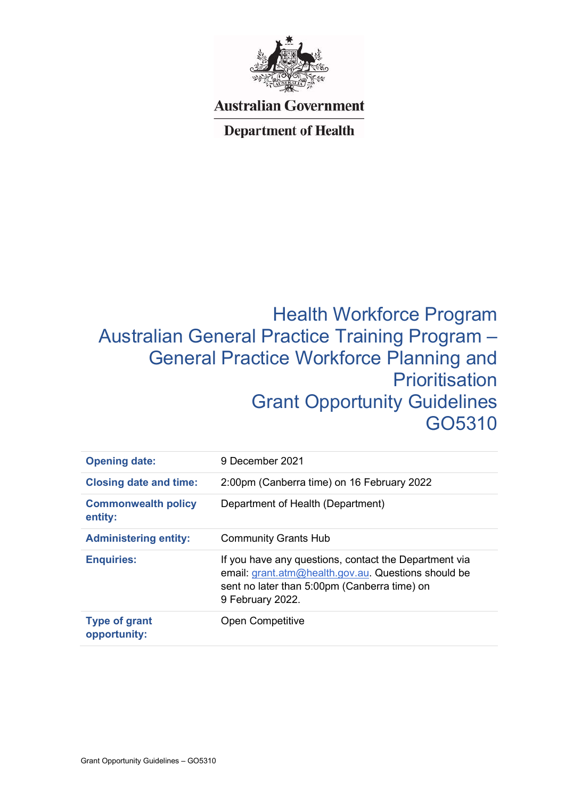

## **Australian Government**

## **Department of Health**

# Health Workforce Program Australian General Practice Training Program – General Practice Workforce Planning and **Prioritisation** Grant Opportunity Guidelines GO5310

| <b>Opening date:</b>                  | 9 December 2021                                                                                                                                                                  |
|---------------------------------------|----------------------------------------------------------------------------------------------------------------------------------------------------------------------------------|
| <b>Closing date and time:</b>         | 2:00pm (Canberra time) on 16 February 2022                                                                                                                                       |
| <b>Commonwealth policy</b><br>entity: | Department of Health (Department)                                                                                                                                                |
| <b>Administering entity:</b>          | <b>Community Grants Hub</b>                                                                                                                                                      |
| <b>Enquiries:</b>                     | If you have any questions, contact the Department via<br>email: grant.atm@health.gov.au. Questions should be<br>sent no later than 5:00pm (Canberra time) on<br>9 February 2022. |
| <b>Type of grant</b><br>opportunity:  | <b>Open Competitive</b>                                                                                                                                                          |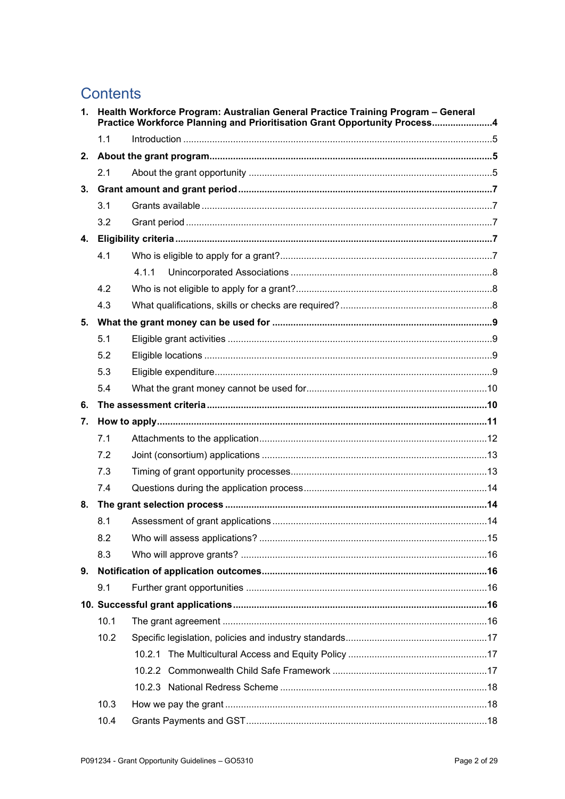## **Contents**

|    | 1. Health Workforce Program: Australian General Practice Training Program - General<br>Practice Workforce Planning and Prioritisation Grant Opportunity Process4 |       |  |
|----|------------------------------------------------------------------------------------------------------------------------------------------------------------------|-------|--|
|    | 1.1                                                                                                                                                              |       |  |
| 2. |                                                                                                                                                                  |       |  |
|    | 2.1                                                                                                                                                              |       |  |
| 3. |                                                                                                                                                                  |       |  |
|    | 3.1                                                                                                                                                              |       |  |
|    | 3.2                                                                                                                                                              |       |  |
| 4. |                                                                                                                                                                  |       |  |
|    | 4.1                                                                                                                                                              |       |  |
|    |                                                                                                                                                                  | 4.1.1 |  |
|    | 4.2                                                                                                                                                              |       |  |
|    | 4.3                                                                                                                                                              |       |  |
| 5. |                                                                                                                                                                  |       |  |
|    | 5.1                                                                                                                                                              |       |  |
|    | 5.2                                                                                                                                                              |       |  |
|    | 5.3                                                                                                                                                              |       |  |
|    | 5.4                                                                                                                                                              |       |  |
| 6. |                                                                                                                                                                  |       |  |
| 7. |                                                                                                                                                                  |       |  |
|    | 7.1                                                                                                                                                              |       |  |
|    | 7.2                                                                                                                                                              |       |  |
|    | 7.3                                                                                                                                                              |       |  |
|    | 7.4                                                                                                                                                              |       |  |
| 8. |                                                                                                                                                                  |       |  |
|    | 8.1                                                                                                                                                              |       |  |
|    | 8.2                                                                                                                                                              |       |  |
|    | 8.3                                                                                                                                                              |       |  |
| 9. |                                                                                                                                                                  |       |  |
|    | 9.1                                                                                                                                                              |       |  |
|    |                                                                                                                                                                  |       |  |
|    | 10.1                                                                                                                                                             |       |  |
|    | 10.2                                                                                                                                                             |       |  |
|    |                                                                                                                                                                  |       |  |
|    |                                                                                                                                                                  |       |  |
|    |                                                                                                                                                                  |       |  |
|    | 10.3                                                                                                                                                             |       |  |
|    | 10.4                                                                                                                                                             |       |  |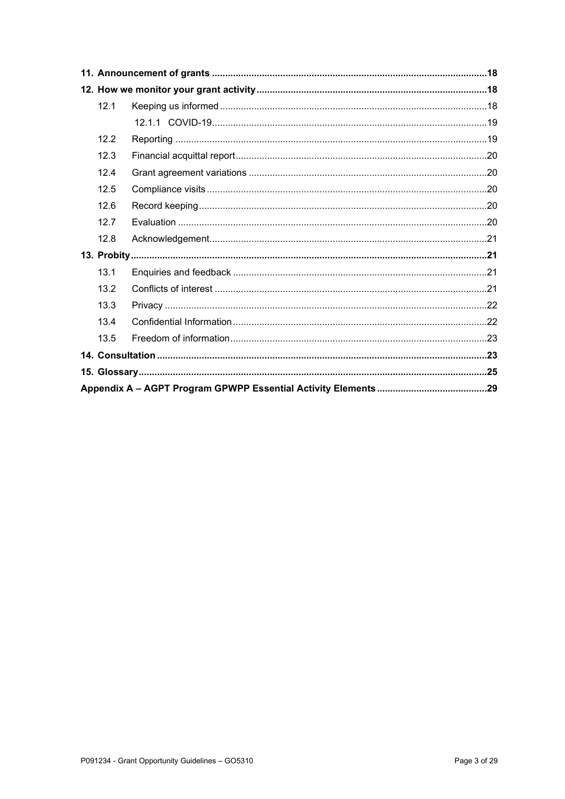| 12.1 |  |  |
|------|--|--|
|      |  |  |
| 12.2 |  |  |
| 12.3 |  |  |
| 12.4 |  |  |
| 12.5 |  |  |
| 12.6 |  |  |
| 12.7 |  |  |
| 12.8 |  |  |
|      |  |  |
| 13.1 |  |  |
| 13.2 |  |  |
| 13.3 |  |  |
| 13.4 |  |  |
| 13.5 |  |  |
|      |  |  |
|      |  |  |
|      |  |  |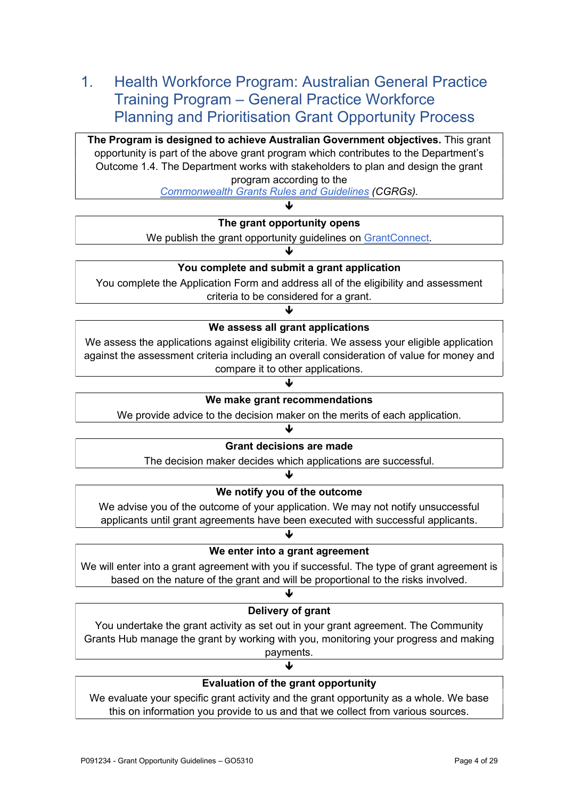## 1. Health Workforce Program: Australian General Practice Training Program – General Practice Workforce Planning and Prioritisation Grant Opportunity Process

The Program is designed to achieve Australian Government objectives. This grant opportunity is part of the above grant program which contributes to the Department's Outcome 1.4. The Department works with stakeholders to plan and design the grant program according to the

Commonwealth Grants Rules and Guidelines (CGRGs).  $\mathbf{L}$ 

## The grant opportunity opens

We publish the grant opportunity guidelines on GrantConnect.

## You complete and submit a grant application

 $\downarrow$ 

You complete the Application Form and address all of the eligibility and assessment criteria to be considered for a grant.

#### $\downarrow$

We assess all grant applications

We assess the applications against eligibility criteria. We assess your eligible application against the assessment criteria including an overall consideration of value for money and compare it to other applications.

 $\downarrow$ 

#### We make grant recommendations

We provide advice to the decision maker on the merits of each application.

## $\downarrow$ Grant decisions are made

The decision maker decides which applications are successful.

#### ₩

#### We notify you of the outcome

We advise you of the outcome of your application. We may not notify unsuccessful applicants until grant agreements have been executed with successful applicants.

#### We enter into a grant agreement

 $\downarrow$ 

We will enter into a grant agreement with you if successful. The type of grant agreement is based on the nature of the grant and will be proportional to the risks involved.

#### $\downarrow$

#### Delivery of grant

You undertake the grant activity as set out in your grant agreement. The Community Grants Hub manage the grant by working with you, monitoring your progress and making payments.

## $\downarrow$ Evaluation of the grant opportunity

We evaluate your specific grant activity and the grant opportunity as a whole. We base this on information you provide to us and that we collect from various sources.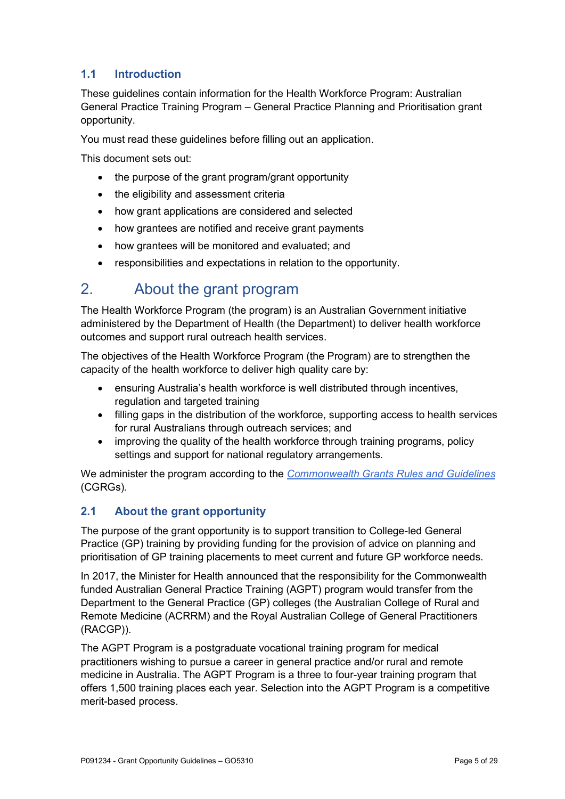## 1.1 Introduction

These guidelines contain information for the Health Workforce Program: Australian General Practice Training Program – General Practice Planning and Prioritisation grant opportunity.

You must read these guidelines before filling out an application.

This document sets out:

- the purpose of the grant program/grant opportunity
- the eligibility and assessment criteria
- how grant applications are considered and selected
- how grantees are notified and receive grant payments
- how grantees will be monitored and evaluated; and
- responsibilities and expectations in relation to the opportunity.

## 2. About the grant program

The Health Workforce Program (the program) is an Australian Government initiative administered by the Department of Health (the Department) to deliver health workforce outcomes and support rural outreach health services.

The objectives of the Health Workforce Program (the Program) are to strengthen the capacity of the health workforce to deliver high quality care by:

- ensuring Australia's health workforce is well distributed through incentives, regulation and targeted training
- filling gaps in the distribution of the workforce, supporting access to health services for rural Australians through outreach services; and
- improving the quality of the health workforce through training programs, policy settings and support for national regulatory arrangements.

We administer the program according to the Commonwealth Grants Rules and Guidelines (CGRGs).

## 2.1 About the grant opportunity

The purpose of the grant opportunity is to support transition to College-led General Practice (GP) training by providing funding for the provision of advice on planning and prioritisation of GP training placements to meet current and future GP workforce needs.

In 2017, the Minister for Health announced that the responsibility for the Commonwealth funded Australian General Practice Training (AGPT) program would transfer from the Department to the General Practice (GP) colleges (the Australian College of Rural and Remote Medicine (ACRRM) and the Royal Australian College of General Practitioners (RACGP)).

The AGPT Program is a postgraduate vocational training program for medical practitioners wishing to pursue a career in general practice and/or rural and remote medicine in Australia. The AGPT Program is a three to four-year training program that offers 1,500 training places each year. Selection into the AGPT Program is a competitive merit-based process.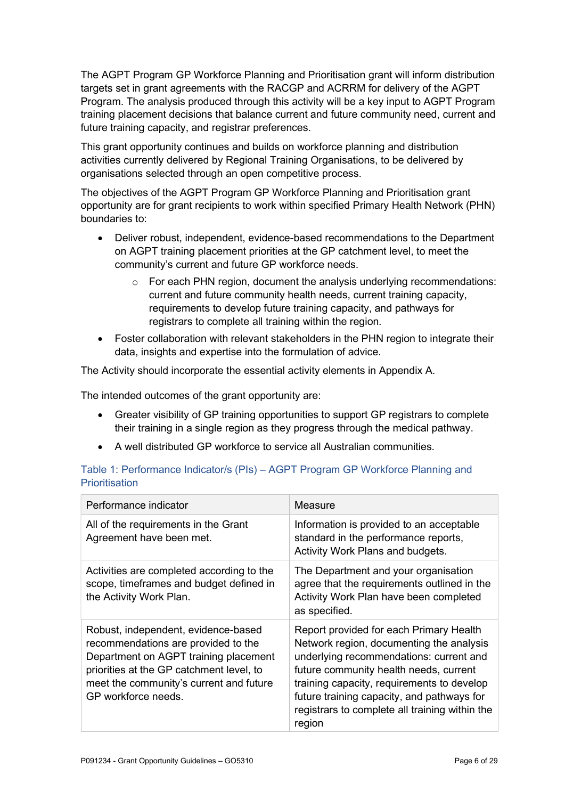The AGPT Program GP Workforce Planning and Prioritisation grant will inform distribution targets set in grant agreements with the RACGP and ACRRM for delivery of the AGPT Program. The analysis produced through this activity will be a key input to AGPT Program training placement decisions that balance current and future community need, current and future training capacity, and registrar preferences.

This grant opportunity continues and builds on workforce planning and distribution activities currently delivered by Regional Training Organisations, to be delivered by organisations selected through an open competitive process.

The objectives of the AGPT Program GP Workforce Planning and Prioritisation grant opportunity are for grant recipients to work within specified Primary Health Network (PHN) boundaries to:

- Deliver robust, independent, evidence-based recommendations to the Department on AGPT training placement priorities at the GP catchment level, to meet the community's current and future GP workforce needs.
	- $\circ$  For each PHN region, document the analysis underlying recommendations: current and future community health needs, current training capacity, requirements to develop future training capacity, and pathways for registrars to complete all training within the region.
- Foster collaboration with relevant stakeholders in the PHN region to integrate their data, insights and expertise into the formulation of advice.

The Activity should incorporate the essential activity elements in Appendix A.

The intended outcomes of the grant opportunity are:

- Greater visibility of GP training opportunities to support GP registrars to complete their training in a single region as they progress through the medical pathway.
- A well distributed GP workforce to service all Australian communities.

## Table 1: Performance Indicator/s (PIs) – AGPT Program GP Workforce Planning and **Prioritisation**

| Performance indicator                                                                                                                                                                                                             | Measure                                                                                                                                                                                                                                                                                                                          |
|-----------------------------------------------------------------------------------------------------------------------------------------------------------------------------------------------------------------------------------|----------------------------------------------------------------------------------------------------------------------------------------------------------------------------------------------------------------------------------------------------------------------------------------------------------------------------------|
| All of the requirements in the Grant<br>Agreement have been met.                                                                                                                                                                  | Information is provided to an acceptable<br>standard in the performance reports,<br>Activity Work Plans and budgets.                                                                                                                                                                                                             |
| Activities are completed according to the<br>scope, timeframes and budget defined in<br>the Activity Work Plan.                                                                                                                   | The Department and your organisation<br>agree that the requirements outlined in the<br>Activity Work Plan have been completed<br>as specified.                                                                                                                                                                                   |
| Robust, independent, evidence-based<br>recommendations are provided to the<br>Department on AGPT training placement<br>priorities at the GP catchment level, to<br>meet the community's current and future<br>GP workforce needs. | Report provided for each Primary Health<br>Network region, documenting the analysis<br>underlying recommendations: current and<br>future community health needs, current<br>training capacity, requirements to develop<br>future training capacity, and pathways for<br>registrars to complete all training within the<br>region |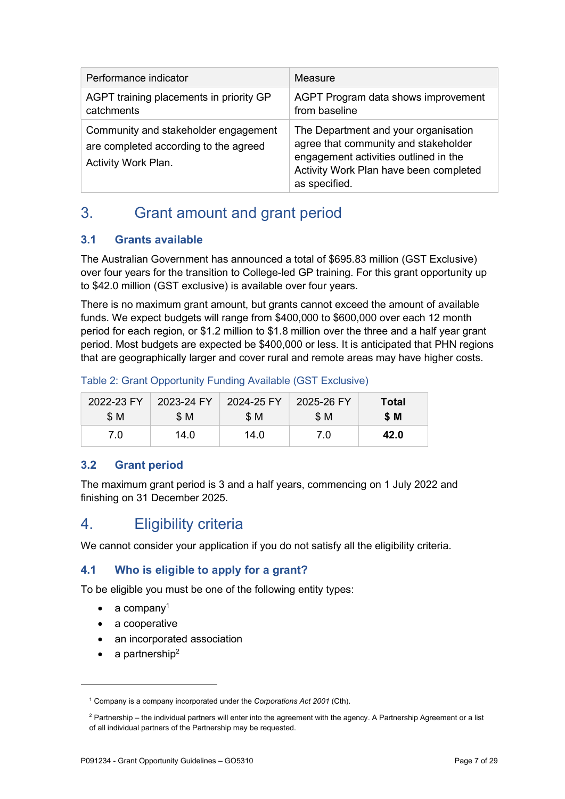| Performance indicator                                                                                | Measure                                                                                                                                                                          |
|------------------------------------------------------------------------------------------------------|----------------------------------------------------------------------------------------------------------------------------------------------------------------------------------|
| AGPT training placements in priority GP<br>catchments                                                | AGPT Program data shows improvement<br>from baseline                                                                                                                             |
| Community and stakeholder engagement<br>are completed according to the agreed<br>Activity Work Plan. | The Department and your organisation<br>agree that community and stakeholder<br>engagement activities outlined in the<br>Activity Work Plan have been completed<br>as specified. |

## 3. Grant amount and grant period

## 3.1 Grants available

The Australian Government has announced a total of \$695.83 million (GST Exclusive) over four years for the transition to College-led GP training. For this grant opportunity up to \$42.0 million (GST exclusive) is available over four years.

There is no maximum grant amount, but grants cannot exceed the amount of available funds. We expect budgets will range from \$400,000 to \$600,000 over each 12 month period for each region, or \$1.2 million to \$1.8 million over the three and a half year grant period. Most budgets are expected be \$400,000 or less. It is anticipated that PHN regions that are geographically larger and cover rural and remote areas may have higher costs.

Table 2: Grant Opportunity Funding Available (GST Exclusive)

| 2022-23 FY | 2023-24 FY | 2024-25 FY | 2025-26 FY | Total |
|------------|------------|------------|------------|-------|
| \$ M       | SM.        | <b>\$M</b> | \$ M       | \$ M  |
| 7.0        | 14.0       | 14.0       | 7.0        | 42.0  |

## 3.2 Grant period

The maximum grant period is 3 and a half years, commencing on 1 July 2022 and finishing on 31 December 2025.

## 4. Eligibility criteria

We cannot consider your application if you do not satisfy all the eligibility criteria.

## 4.1 Who is eligible to apply for a grant?

To be eligible you must be one of the following entity types:

- a company<sup>1</sup>
- a cooperative
- an incorporated association
- $\bullet$  a partnership<sup>2</sup>

<sup>&</sup>lt;sup>1</sup> Company is a company incorporated under the Corporations Act 2001 (Cth).

 $2$  Partnership – the individual partners will enter into the agreement with the agency. A Partnership Agreement or a list of all individual partners of the Partnership may be requested.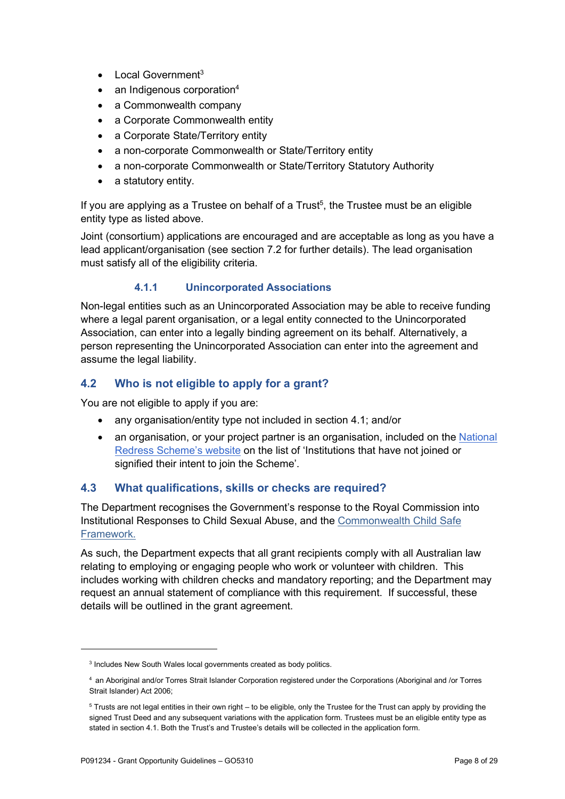- $\bullet$  Local Government<sup>3</sup>
- $\bullet$  an Indigenous corporation<sup>4</sup>
- a Commonwealth company
- a Corporate Commonwealth entity
- a Corporate State/Territory entity
- a non-corporate Commonwealth or State/Territory entity
- a non-corporate Commonwealth or State/Territory Statutory Authority
- a statutory entity.

If you are applying as a Trustee on behalf of a Trust<sup>5</sup>, the Trustee must be an eligible entity type as listed above.

Joint (consortium) applications are encouraged and are acceptable as long as you have a lead applicant/organisation (see section 7.2 for further details). The lead organisation must satisfy all of the eligibility criteria.

#### 4.1.1 Unincorporated Associations

Non-legal entities such as an Unincorporated Association may be able to receive funding where a legal parent organisation, or a legal entity connected to the Unincorporated Association, can enter into a legally binding agreement on its behalf. Alternatively, a person representing the Unincorporated Association can enter into the agreement and assume the legal liability.

## 4.2 Who is not eligible to apply for a grant?

You are not eligible to apply if you are:

- any organisation/entity type not included in section 4.1; and/or
- an organisation, or your project partner is an organisation, included on the National Redress Scheme's website on the list of 'Institutions that have not joined or signified their intent to join the Scheme'.

## 4.3 What qualifications, skills or checks are required?

The Department recognises the Government's response to the Royal Commission into Institutional Responses to Child Sexual Abuse, and the Commonwealth Child Safe Framework.

As such, the Department expects that all grant recipients comply with all Australian law relating to employing or engaging people who work or volunteer with children. This includes working with children checks and mandatory reporting; and the Department may request an annual statement of compliance with this requirement. If successful, these details will be outlined in the grant agreement.

<sup>&</sup>lt;sup>3</sup> Includes New South Wales local governments created as body politics.

<sup>4</sup>an Aboriginal and/or Torres Strait Islander Corporation registered under the Corporations (Aboriginal and /or Torres Strait Islander) Act 2006;

 $5$  Trusts are not legal entities in their own right – to be eligible, only the Trustee for the Trust can apply by providing the signed Trust Deed and any subsequent variations with the application form. Trustees must be an eligible entity type as stated in section 4.1. Both the Trust's and Trustee's details will be collected in the application form.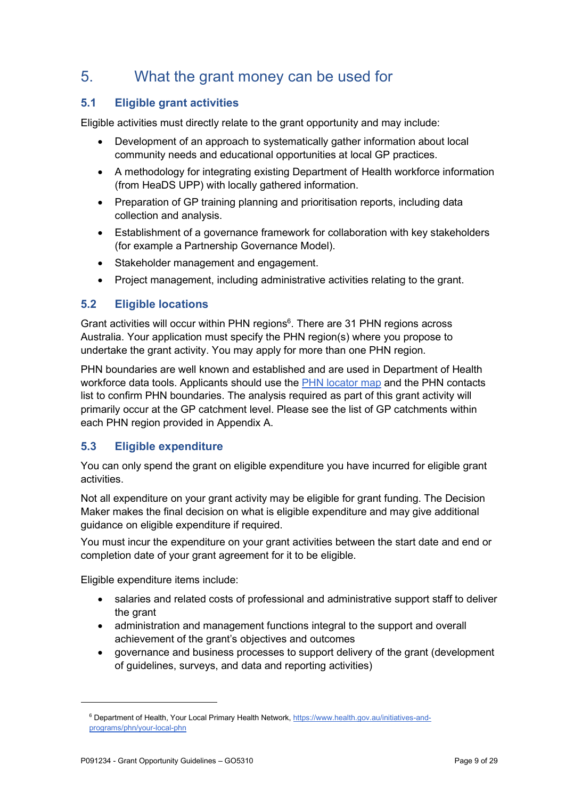## 5. What the grant money can be used for

## 5.1 Eligible grant activities

Eligible activities must directly relate to the grant opportunity and may include:

- Development of an approach to systematically gather information about local community needs and educational opportunities at local GP practices.
- A methodology for integrating existing Department of Health workforce information (from HeaDS UPP) with locally gathered information.
- Preparation of GP training planning and prioritisation reports, including data collection and analysis.
- Establishment of a governance framework for collaboration with key stakeholders (for example a Partnership Governance Model).
- Stakeholder management and engagement.
- Project management, including administrative activities relating to the grant.

## 5.2 Eligible locations

Grant activities will occur within PHN regions<sup>6</sup>. There are 31 PHN regions across Australia. Your application must specify the PHN region(s) where you propose to undertake the grant activity. You may apply for more than one PHN region.

PHN boundaries are well known and established and are used in Department of Health workforce data tools. Applicants should use the PHN locator map and the PHN contacts list to confirm PHN boundaries. The analysis required as part of this grant activity will primarily occur at the GP catchment level. Please see the list of GP catchments within each PHN region provided in Appendix A.

## 5.3 Eligible expenditure

You can only spend the grant on eligible expenditure you have incurred for eligible grant activities.

Not all expenditure on your grant activity may be eligible for grant funding. The Decision Maker makes the final decision on what is eligible expenditure and may give additional guidance on eligible expenditure if required.

You must incur the expenditure on your grant activities between the start date and end or completion date of your grant agreement for it to be eligible.

Eligible expenditure items include:

- salaries and related costs of professional and administrative support staff to deliver the grant
- administration and management functions integral to the support and overall achievement of the grant's objectives and outcomes
- governance and business processes to support delivery of the grant (development of guidelines, surveys, and data and reporting activities)

<sup>&</sup>lt;sup>6</sup> Department of Health, Your Local Primary Health Network, https://www.health.gov.au/initiatives-andprograms/phn/your-local-phn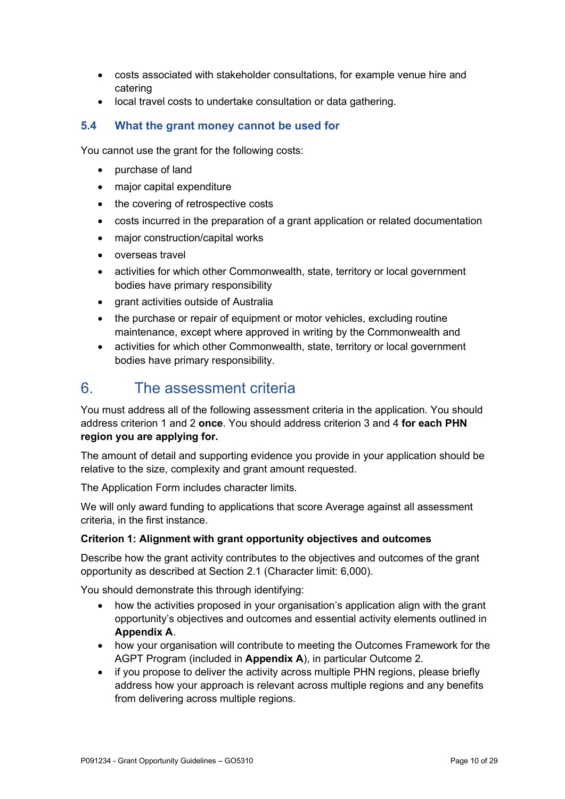- costs associated with stakeholder consultations, for example venue hire and catering
- local travel costs to undertake consultation or data gathering.

## 5.4 What the grant money cannot be used for

You cannot use the grant for the following costs:

- purchase of land
- major capital expenditure
- the covering of retrospective costs
- costs incurred in the preparation of a grant application or related documentation
- major construction/capital works
- overseas travel
- activities for which other Commonwealth, state, territory or local government bodies have primary responsibility
- arant activities outside of Australia
- the purchase or repair of equipment or motor vehicles, excluding routine maintenance, except where approved in writing by the Commonwealth and
- activities for which other Commonwealth, state, territory or local government bodies have primary responsibility.

## 6. The assessment criteria

You must address all of the following assessment criteria in the application. You should address criterion 1 and 2 **once**. You should address criterion 3 and 4 for each PHN region you are applying for.

The amount of detail and supporting evidence you provide in your application should be relative to the size, complexity and grant amount requested.

The Application Form includes character limits.

We will only award funding to applications that score Average against all assessment criteria, in the first instance.

#### Criterion 1: Alignment with grant opportunity objectives and outcomes

Describe how the grant activity contributes to the objectives and outcomes of the grant opportunity as described at Section 2.1 (Character limit: 6,000).

You should demonstrate this through identifying:

- how the activities proposed in your organisation's application align with the grant opportunity's objectives and outcomes and essential activity elements outlined in Appendix A.
- how your organisation will contribute to meeting the Outcomes Framework for the AGPT Program (included in Appendix A), in particular Outcome 2.
- if you propose to deliver the activity across multiple PHN regions, please briefly address how your approach is relevant across multiple regions and any benefits from delivering across multiple regions.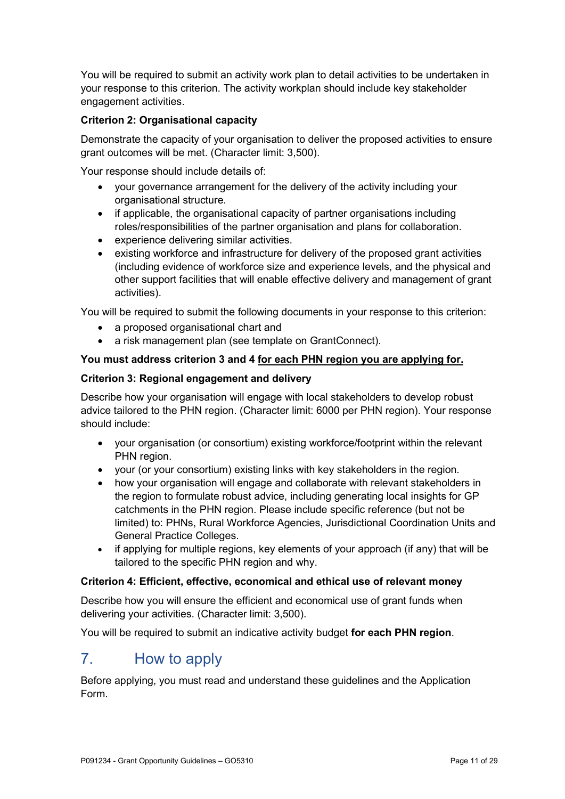You will be required to submit an activity work plan to detail activities to be undertaken in your response to this criterion. The activity workplan should include key stakeholder engagement activities.

### Criterion 2: Organisational capacity

Demonstrate the capacity of your organisation to deliver the proposed activities to ensure grant outcomes will be met. (Character limit: 3,500).

Your response should include details of:

- vour governance arrangement for the delivery of the activity including your organisational structure.
- if applicable, the organisational capacity of partner organisations including roles/responsibilities of the partner organisation and plans for collaboration.
- experience delivering similar activities.
- existing workforce and infrastructure for delivery of the proposed grant activities (including evidence of workforce size and experience levels, and the physical and other support facilities that will enable effective delivery and management of grant activities).

You will be required to submit the following documents in your response to this criterion:

- a proposed organisational chart and
- a risk management plan (see template on GrantConnect).

#### You must address criterion 3 and 4 for each PHN region you are applying for.

#### Criterion 3: Regional engagement and delivery

Describe how your organisation will engage with local stakeholders to develop robust advice tailored to the PHN region. (Character limit: 6000 per PHN region). Your response should include:

- your organisation (or consortium) existing workforce/footprint within the relevant PHN region.
- your (or your consortium) existing links with key stakeholders in the region.
- how your organisation will engage and collaborate with relevant stakeholders in the region to formulate robust advice, including generating local insights for GP catchments in the PHN region. Please include specific reference (but not be limited) to: PHNs, Rural Workforce Agencies, Jurisdictional Coordination Units and General Practice Colleges.
- if applying for multiple regions, key elements of your approach (if any) that will be tailored to the specific PHN region and why.

#### Criterion 4: Efficient, effective, economical and ethical use of relevant money

Describe how you will ensure the efficient and economical use of grant funds when delivering your activities. (Character limit: 3,500).

You will be required to submit an indicative activity budget for each PHN region.

## 7. How to apply

Before applying, you must read and understand these guidelines and the Application Form.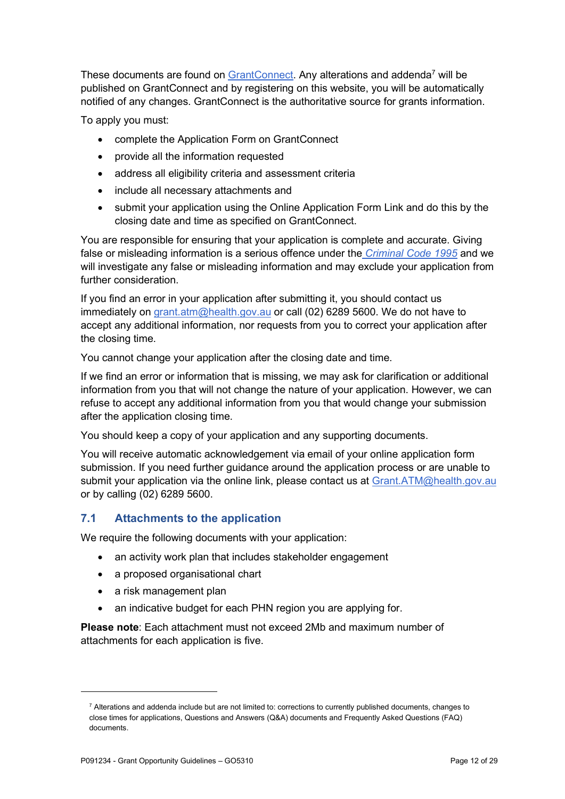These documents are found on GrantConnect. Any alterations and addenda<sup>7</sup> will be published on GrantConnect and by registering on this website, you will be automatically notified of any changes. GrantConnect is the authoritative source for grants information.

To apply you must:

- complete the Application Form on GrantConnect
- provide all the information requested
- address all eligibility criteria and assessment criteria
- include all necessary attachments and
- submit your application using the Online Application Form Link and do this by the closing date and time as specified on GrantConnect.

You are responsible for ensuring that your application is complete and accurate. Giving false or misleading information is a serious offence under the *Criminal Code 1995* and we will investigate any false or misleading information and may exclude your application from further consideration

If you find an error in your application after submitting it, you should contact us immediately on grant.atm@health.gov.au or call (02) 6289 5600. We do not have to accept any additional information, nor requests from you to correct your application after the closing time.

You cannot change your application after the closing date and time.

If we find an error or information that is missing, we may ask for clarification or additional information from you that will not change the nature of your application. However, we can refuse to accept any additional information from you that would change your submission after the application closing time.

You should keep a copy of your application and any supporting documents.

You will receive automatic acknowledgement via email of your online application form submission. If you need further guidance around the application process or are unable to submit your application via the online link, please contact us at Grant.ATM@health.gov.au or by calling (02) 6289 5600.

## 7.1 Attachments to the application

We require the following documents with your application:

- an activity work plan that includes stakeholder engagement
- a proposed organisational chart
- a risk management plan
- an indicative budget for each PHN region you are applying for.

Please note: Each attachment must not exceed 2Mb and maximum number of attachments for each application is five.

<sup>&</sup>lt;sup>7</sup> Alterations and addenda include but are not limited to: corrections to currently published documents, changes to close times for applications, Questions and Answers (Q&A) documents and Frequently Asked Questions (FAQ) documents.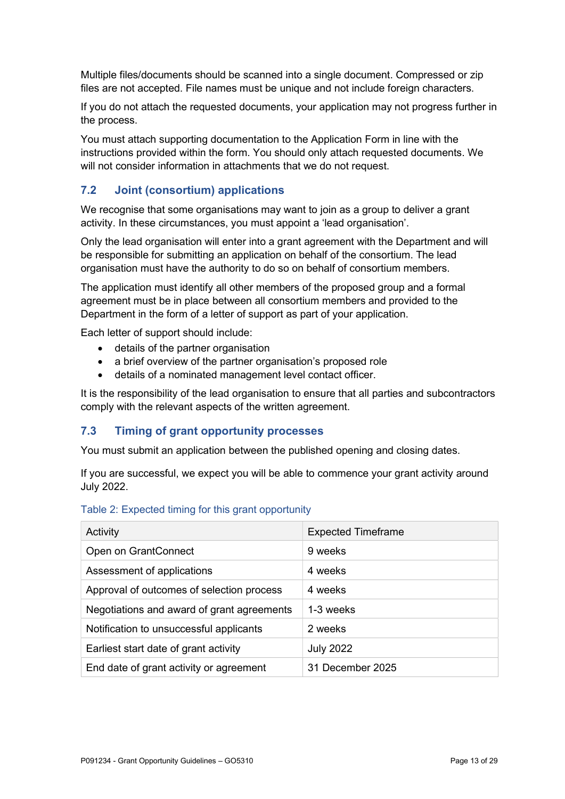Multiple files/documents should be scanned into a single document. Compressed or zip files are not accepted. File names must be unique and not include foreign characters.

If you do not attach the requested documents, your application may not progress further in the process.

You must attach supporting documentation to the Application Form in line with the instructions provided within the form. You should only attach requested documents. We will not consider information in attachments that we do not request.

## 7.2 Joint (consortium) applications

We recognise that some organisations may want to join as a group to deliver a grant activity. In these circumstances, you must appoint a 'lead organisation'.

Only the lead organisation will enter into a grant agreement with the Department and will be responsible for submitting an application on behalf of the consortium. The lead organisation must have the authority to do so on behalf of consortium members.

The application must identify all other members of the proposed group and a formal agreement must be in place between all consortium members and provided to the Department in the form of a letter of support as part of your application.

Each letter of support should include:

- details of the partner organisation
- a brief overview of the partner organisation's proposed role
- details of a nominated management level contact officer.

It is the responsibility of the lead organisation to ensure that all parties and subcontractors comply with the relevant aspects of the written agreement.

#### 7.3 Timing of grant opportunity processes

You must submit an application between the published opening and closing dates.

If you are successful, we expect you will be able to commence your grant activity around July 2022.

#### Table 2: Expected timing for this grant opportunity

| Activity                                   | <b>Expected Timeframe</b> |
|--------------------------------------------|---------------------------|
| Open on GrantConnect                       | 9 weeks                   |
| Assessment of applications                 | 4 weeks                   |
| Approval of outcomes of selection process  | 4 weeks                   |
| Negotiations and award of grant agreements | 1-3 weeks                 |
| Notification to unsuccessful applicants    | 2 weeks                   |
| Earliest start date of grant activity      | <b>July 2022</b>          |
| End date of grant activity or agreement    | 31 December 2025          |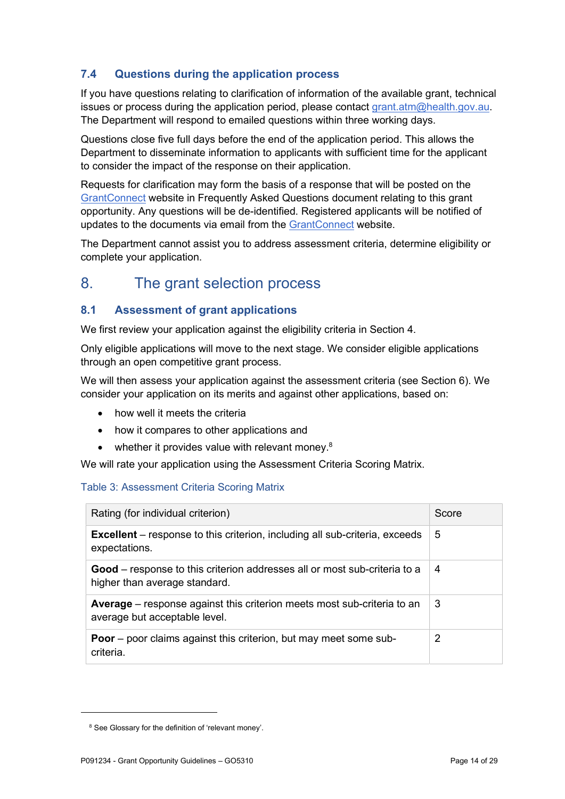## 7.4 Questions during the application process

If you have questions relating to clarification of information of the available grant, technical issues or process during the application period, please contact grant.atm@health.gov.au. The Department will respond to emailed questions within three working days.

Questions close five full days before the end of the application period. This allows the Department to disseminate information to applicants with sufficient time for the applicant to consider the impact of the response on their application.

Requests for clarification may form the basis of a response that will be posted on the GrantConnect website in Frequently Asked Questions document relating to this grant opportunity. Any questions will be de-identified. Registered applicants will be notified of updates to the documents via email from the GrantConnect website.

The Department cannot assist you to address assessment criteria, determine eligibility or complete your application.

## 8. The grant selection process

## 8.1 Assessment of grant applications

We first review your application against the eligibility criteria in Section 4.

Only eligible applications will move to the next stage. We consider eligible applications through an open competitive grant process.

We will then assess your application against the assessment criteria (see Section 6). We consider your application on its merits and against other applications, based on:

- how well it meets the criteria
- how it compares to other applications and
- whether it provides value with relevant money. $8$

We will rate your application using the Assessment Criteria Scoring Matrix.

#### Table 3: Assessment Criteria Scoring Matrix

| Rating (for individual criterion)                                                                                 | Score |
|-------------------------------------------------------------------------------------------------------------------|-------|
| <b>Excellent</b> – response to this criterion, including all sub-criteria, exceeds<br>expectations.               | 5     |
| <b>Good</b> – response to this criterion addresses all or most sub-criteria to a<br>higher than average standard. | 4     |
| <b>Average</b> – response against this criterion meets most sub-criteria to an<br>average but acceptable level.   | 3     |
| <b>Poor</b> – poor claims against this criterion, but may meet some sub-<br>criteria.                             | 2     |

<sup>&</sup>lt;sup>8</sup> See Glossary for the definition of 'relevant money'.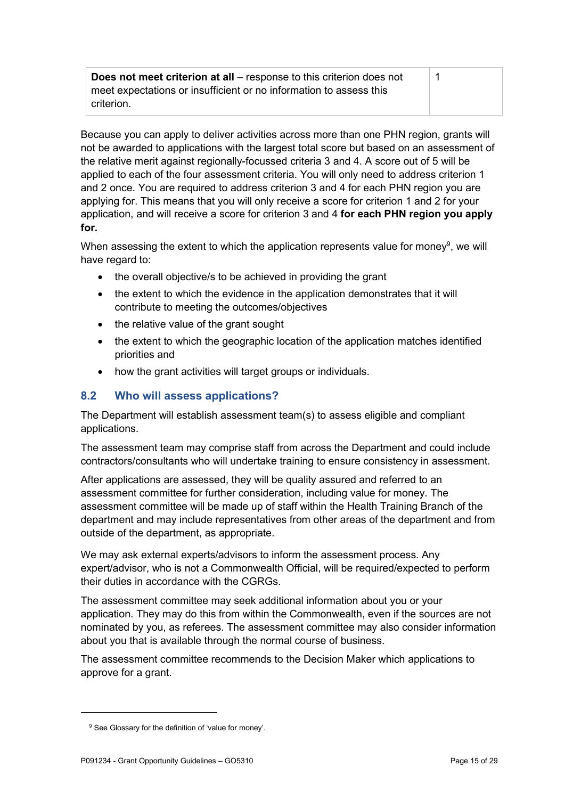| <b>Does not meet criterion at all</b> – response to this criterion does not |  |
|-----------------------------------------------------------------------------|--|
| meet expectations or insufficient or no information to assess this          |  |
| criterion.                                                                  |  |

Because you can apply to deliver activities across more than one PHN region, grants will not be awarded to applications with the largest total score but based on an assessment of the relative merit against regionally-focussed criteria 3 and 4. A score out of 5 will be applied to each of the four assessment criteria. You will only need to address criterion 1 and 2 once. You are required to address criterion 3 and 4 for each PHN region you are applying for. This means that you will only receive a score for criterion 1 and 2 for your application, and will receive a score for criterion 3 and 4 for each PHN region you apply for.

When assessing the extent to which the application represents value for money<sup>9</sup>, we will have regard to:

- the overall objective/s to be achieved in providing the grant
- the extent to which the evidence in the application demonstrates that it will contribute to meeting the outcomes/objectives
- the relative value of the grant sought
- the extent to which the geographic location of the application matches identified priorities and
- how the grant activities will target groups or individuals.

## 8.2 Who will assess applications?

The Department will establish assessment team(s) to assess eligible and compliant applications.

The assessment team may comprise staff from across the Department and could include contractors/consultants who will undertake training to ensure consistency in assessment.

After applications are assessed, they will be quality assured and referred to an assessment committee for further consideration, including value for money. The assessment committee will be made up of staff within the Health Training Branch of the department and may include representatives from other areas of the department and from outside of the department, as appropriate.

We may ask external experts/advisors to inform the assessment process. Any expert/advisor, who is not a Commonwealth Official, will be required/expected to perform their duties in accordance with the CGRGs.

The assessment committee may seek additional information about you or your application. They may do this from within the Commonwealth, even if the sources are not nominated by you, as referees. The assessment committee may also consider information about you that is available through the normal course of business.

The assessment committee recommends to the Decision Maker which applications to approve for a grant.

<sup>&</sup>lt;sup>9</sup> See Glossary for the definition of 'value for money'.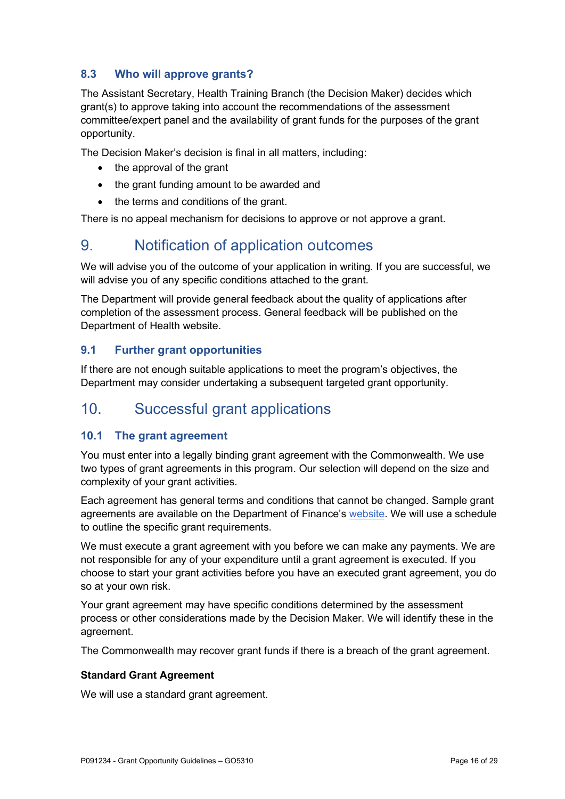## 8.3 Who will approve grants?

The Assistant Secretary, Health Training Branch (the Decision Maker) decides which grant(s) to approve taking into account the recommendations of the assessment committee/expert panel and the availability of grant funds for the purposes of the grant opportunity.

The Decision Maker's decision is final in all matters, including:

- the approval of the grant
- the grant funding amount to be awarded and
- the terms and conditions of the grant.

There is no appeal mechanism for decisions to approve or not approve a grant.

## 9. Notification of application outcomes

We will advise you of the outcome of your application in writing. If you are successful, we will advise you of any specific conditions attached to the grant.

The Department will provide general feedback about the quality of applications after completion of the assessment process. General feedback will be published on the Department of Health website.

## 9.1 Further grant opportunities

If there are not enough suitable applications to meet the program's objectives, the Department may consider undertaking a subsequent targeted grant opportunity.

## 10. Successful grant applications

## 10.1 The grant agreement

You must enter into a legally binding grant agreement with the Commonwealth. We use two types of grant agreements in this program. Our selection will depend on the size and complexity of your grant activities.

Each agreement has general terms and conditions that cannot be changed. Sample grant agreements are available on the Department of Finance's website. We will use a schedule to outline the specific grant requirements.

We must execute a grant agreement with you before we can make any payments. We are not responsible for any of your expenditure until a grant agreement is executed. If you choose to start your grant activities before you have an executed grant agreement, you do so at your own risk.

Your grant agreement may have specific conditions determined by the assessment process or other considerations made by the Decision Maker. We will identify these in the agreement.

The Commonwealth may recover grant funds if there is a breach of the grant agreement.

#### Standard Grant Agreement

We will use a standard grant agreement.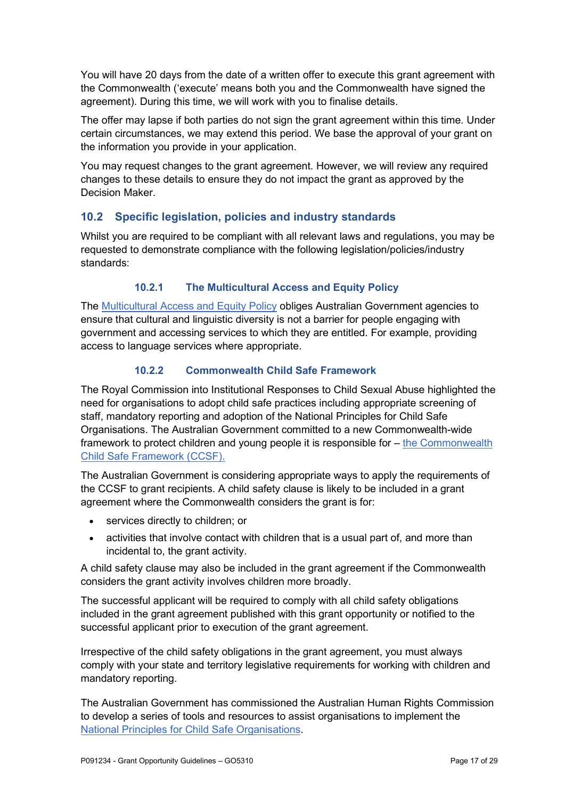You will have 20 days from the date of a written offer to execute this grant agreement with the Commonwealth ('execute' means both you and the Commonwealth have signed the agreement). During this time, we will work with you to finalise details.

The offer may lapse if both parties do not sign the grant agreement within this time. Under certain circumstances, we may extend this period. We base the approval of your grant on the information you provide in your application.

You may request changes to the grant agreement. However, we will review any required changes to these details to ensure they do not impact the grant as approved by the Decision Maker.

## 10.2 Specific legislation, policies and industry standards

Whilst you are required to be compliant with all relevant laws and regulations, you may be requested to demonstrate compliance with the following legislation/policies/industry standards:

## 10.2.1 The Multicultural Access and Equity Policy

The Multicultural Access and Equity Policy obliges Australian Government agencies to ensure that cultural and linguistic diversity is not a barrier for people engaging with government and accessing services to which they are entitled. For example, providing access to language services where appropriate.

#### 10.2.2 Commonwealth Child Safe Framework

The Royal Commission into Institutional Responses to Child Sexual Abuse highlighted the need for organisations to adopt child safe practices including appropriate screening of staff, mandatory reporting and adoption of the National Principles for Child Safe Organisations. The Australian Government committed to a new Commonwealth-wide framework to protect children and young people it is responsible for – the Commonwealth Child Safe Framework (CCSF).

The Australian Government is considering appropriate ways to apply the requirements of the CCSF to grant recipients. A child safety clause is likely to be included in a grant agreement where the Commonwealth considers the grant is for:

- services directly to children; or
- activities that involve contact with children that is a usual part of, and more than incidental to, the grant activity.

A child safety clause may also be included in the grant agreement if the Commonwealth considers the grant activity involves children more broadly.

The successful applicant will be required to comply with all child safety obligations included in the grant agreement published with this grant opportunity or notified to the successful applicant prior to execution of the grant agreement.

Irrespective of the child safety obligations in the grant agreement, you must always comply with your state and territory legislative requirements for working with children and mandatory reporting.

The Australian Government has commissioned the Australian Human Rights Commission to develop a series of tools and resources to assist organisations to implement the National Principles for Child Safe Organisations.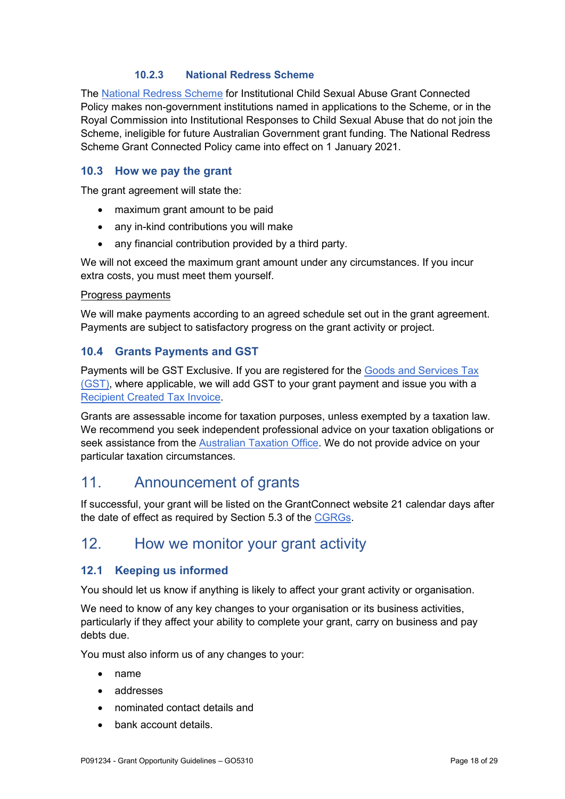#### 10.2.3 National Redress Scheme

The National Redress Scheme for Institutional Child Sexual Abuse Grant Connected Policy makes non-government institutions named in applications to the Scheme, or in the Royal Commission into Institutional Responses to Child Sexual Abuse that do not join the Scheme, ineligible for future Australian Government grant funding. The National Redress Scheme Grant Connected Policy came into effect on 1 January 2021.

### 10.3 How we pay the grant

The grant agreement will state the:

- maximum grant amount to be paid
- any in-kind contributions you will make
- any financial contribution provided by a third party.

We will not exceed the maximum grant amount under any circumstances. If you incur extra costs, you must meet them yourself.

#### Progress payments

We will make payments according to an agreed schedule set out in the grant agreement. Payments are subject to satisfactory progress on the grant activity or project.

#### 10.4 Grants Payments and GST

Payments will be GST Exclusive. If you are registered for the Goods and Services Tax (GST), where applicable, we will add GST to your grant payment and issue you with a Recipient Created Tax Invoice.

Grants are assessable income for taxation purposes, unless exempted by a taxation law. We recommend you seek independent professional advice on your taxation obligations or seek assistance from the Australian Taxation Office. We do not provide advice on your particular taxation circumstances.

## 11. Announcement of grants

If successful, your grant will be listed on the GrantConnect website 21 calendar days after the date of effect as required by Section 5.3 of the CGRGs.

## 12. How we monitor your grant activity

## 12.1 Keeping us informed

You should let us know if anything is likely to affect your grant activity or organisation.

We need to know of any key changes to your organisation or its business activities, particularly if they affect your ability to complete your grant, carry on business and pay debts due.

You must also inform us of any changes to your:

- name
- addresses
- nominated contact details and
- bank account details.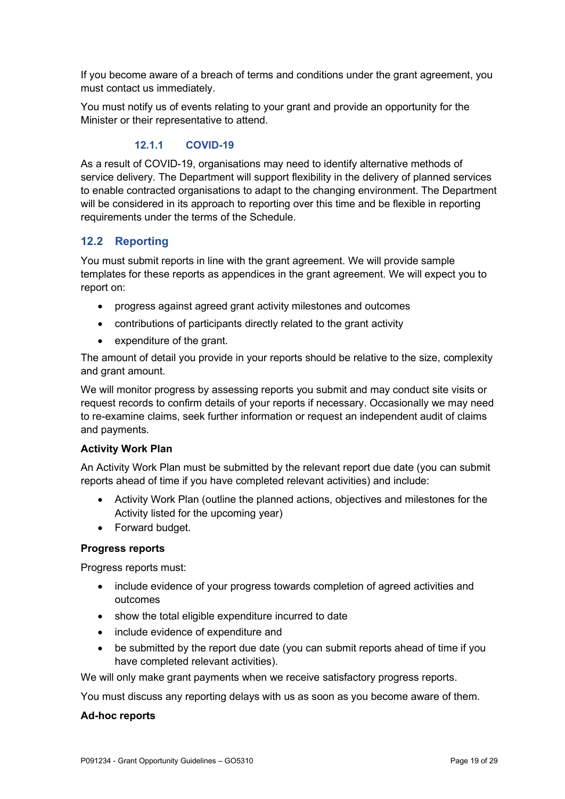If you become aware of a breach of terms and conditions under the grant agreement, you must contact us immediately.

You must notify us of events relating to your grant and provide an opportunity for the Minister or their representative to attend.

## 12.1.1 COVID-19

As a result of COVID-19, organisations may need to identify alternative methods of service delivery. The Department will support flexibility in the delivery of planned services to enable contracted organisations to adapt to the changing environment. The Department will be considered in its approach to reporting over this time and be flexible in reporting requirements under the terms of the Schedule.

## 12.2 Reporting

You must submit reports in line with the grant agreement. We will provide sample templates for these reports as appendices in the grant agreement. We will expect you to report on:

- progress against agreed grant activity milestones and outcomes
- contributions of participants directly related to the grant activity
- expenditure of the grant.

The amount of detail you provide in your reports should be relative to the size, complexity and grant amount.

We will monitor progress by assessing reports you submit and may conduct site visits or request records to confirm details of your reports if necessary. Occasionally we may need to re-examine claims, seek further information or request an independent audit of claims and payments.

#### Activity Work Plan

An Activity Work Plan must be submitted by the relevant report due date (you can submit reports ahead of time if you have completed relevant activities) and include:

- Activity Work Plan (outline the planned actions, objectives and milestones for the Activity listed for the upcoming year)
- Forward budget.

#### Progress reports

Progress reports must:

- include evidence of your progress towards completion of agreed activities and outcomes
- show the total eligible expenditure incurred to date
- include evidence of expenditure and
- be submitted by the report due date (you can submit reports ahead of time if you have completed relevant activities).

We will only make grant payments when we receive satisfactory progress reports.

You must discuss any reporting delays with us as soon as you become aware of them.

#### Ad-hoc reports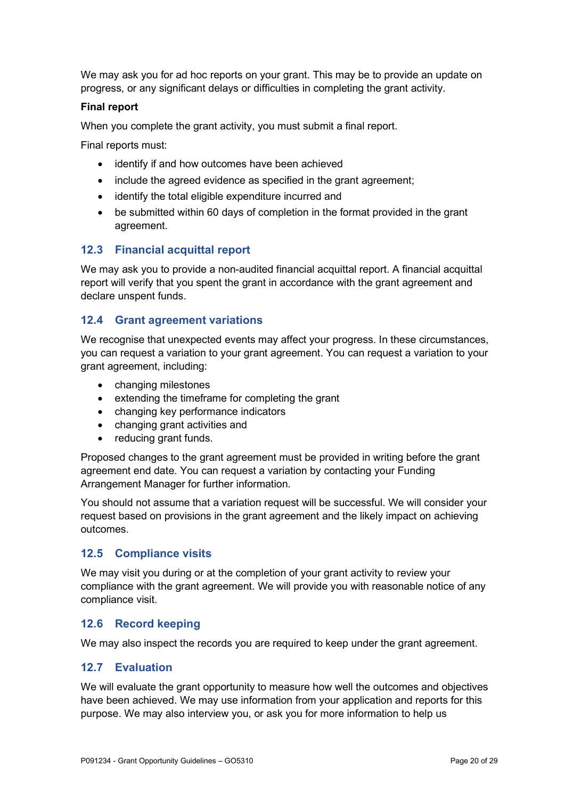We may ask you for ad hoc reports on your grant. This may be to provide an update on progress, or any significant delays or difficulties in completing the grant activity.

#### Final report

When you complete the grant activity, you must submit a final report.

Final reports must:

- identify if and how outcomes have been achieved
- include the agreed evidence as specified in the grant agreement;
- identify the total eligible expenditure incurred and
- be submitted within 60 days of completion in the format provided in the grant agreement.

## 12.3 Financial acquittal report

We may ask you to provide a non-audited financial acquittal report. A financial acquittal report will verify that you spent the grant in accordance with the grant agreement and declare unspent funds.

## 12.4 Grant agreement variations

We recognise that unexpected events may affect your progress. In these circumstances, you can request a variation to your grant agreement. You can request a variation to your grant agreement, including:

- changing milestones
- extending the timeframe for completing the grant
- changing key performance indicators
- changing grant activities and
- reducing grant funds.

Proposed changes to the grant agreement must be provided in writing before the grant agreement end date. You can request a variation by contacting your Funding Arrangement Manager for further information.

You should not assume that a variation request will be successful. We will consider your request based on provisions in the grant agreement and the likely impact on achieving outcomes.

## 12.5 Compliance visits

We may visit you during or at the completion of your grant activity to review your compliance with the grant agreement. We will provide you with reasonable notice of any compliance visit.

## 12.6 Record keeping

We may also inspect the records you are required to keep under the grant agreement.

## 12.7 Evaluation

We will evaluate the grant opportunity to measure how well the outcomes and objectives have been achieved. We may use information from your application and reports for this purpose. We may also interview you, or ask you for more information to help us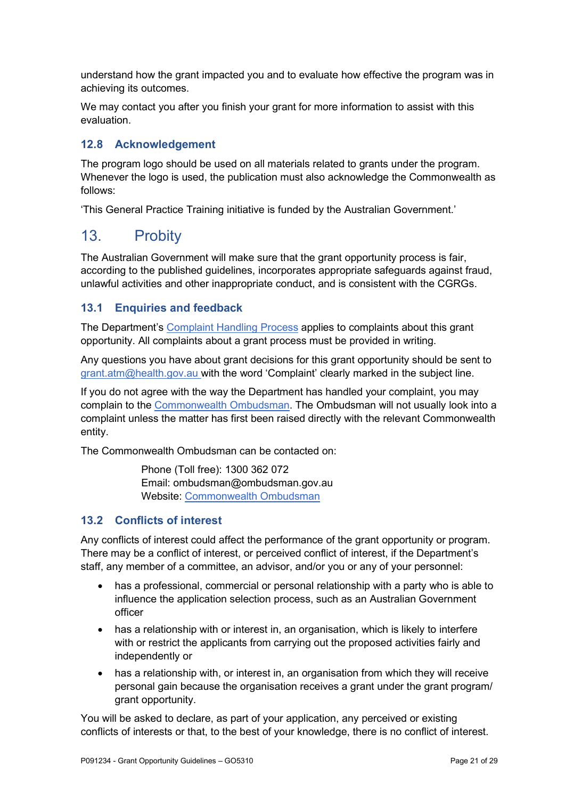understand how the grant impacted you and to evaluate how effective the program was in achieving its outcomes.

We may contact you after you finish your grant for more information to assist with this evaluation.

## 12.8 Acknowledgement

The program logo should be used on all materials related to grants under the program. Whenever the logo is used, the publication must also acknowledge the Commonwealth as follows:

'This General Practice Training initiative is funded by the Australian Government.'

## 13. Probity

The Australian Government will make sure that the grant opportunity process is fair, according to the published guidelines, incorporates appropriate safeguards against fraud, unlawful activities and other inappropriate conduct, and is consistent with the CGRGs.

## 13.1 Enquiries and feedback

The Department's Complaint Handling Process applies to complaints about this grant opportunity. All complaints about a grant process must be provided in writing.

Any questions you have about grant decisions for this grant opportunity should be sent to grant.atm@health.gov.au with the word 'Complaint' clearly marked in the subject line.

If you do not agree with the way the Department has handled your complaint, you may complain to the Commonwealth Ombudsman. The Ombudsman will not usually look into a complaint unless the matter has first been raised directly with the relevant Commonwealth entity.

The Commonwealth Ombudsman can be contacted on:

 Phone (Toll free): 1300 362 072 Email: ombudsman@ombudsman.gov.au Website: Commonwealth Ombudsman

## 13.2 Conflicts of interest

Any conflicts of interest could affect the performance of the grant opportunity or program. There may be a conflict of interest, or perceived conflict of interest, if the Department's staff, any member of a committee, an advisor, and/or you or any of your personnel:

- has a professional, commercial or personal relationship with a party who is able to influence the application selection process, such as an Australian Government officer
- has a relationship with or interest in, an organisation, which is likely to interfere with or restrict the applicants from carrying out the proposed activities fairly and independently or
- has a relationship with, or interest in, an organisation from which they will receive personal gain because the organisation receives a grant under the grant program/ grant opportunity.

You will be asked to declare, as part of your application, any perceived or existing conflicts of interests or that, to the best of your knowledge, there is no conflict of interest.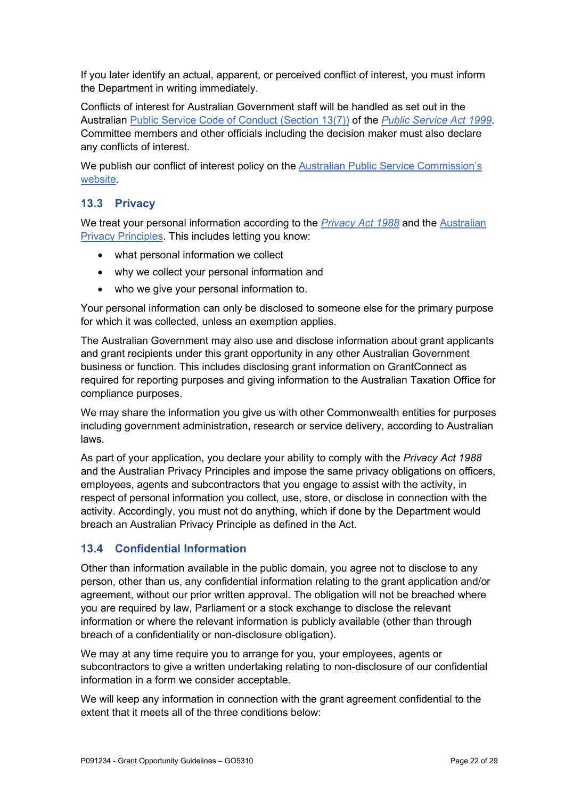If you later identify an actual, apparent, or perceived conflict of interest, you must inform the Department in writing immediately.

Conflicts of interest for Australian Government staff will be handled as set out in the Australian Public Service Code of Conduct (Section 13(7)) of the Public Service Act 1999. Committee members and other officials including the decision maker must also declare any conflicts of interest.

We publish our conflict of interest policy on the Australian Public Service Commission's website.

## 13.3 Privacy

We treat your personal information according to the Privacy Act 1988 and the Australian Privacy Principles. This includes letting you know:

- what personal information we collect
- why we collect your personal information and
- who we give your personal information to.

Your personal information can only be disclosed to someone else for the primary purpose for which it was collected, unless an exemption applies.

The Australian Government may also use and disclose information about grant applicants and grant recipients under this grant opportunity in any other Australian Government business or function. This includes disclosing grant information on GrantConnect as required for reporting purposes and giving information to the Australian Taxation Office for compliance purposes.

We may share the information you give us with other Commonwealth entities for purposes including government administration, research or service delivery, according to Australian laws.

As part of your application, you declare your ability to comply with the Privacy Act 1988 and the Australian Privacy Principles and impose the same privacy obligations on officers, employees, agents and subcontractors that you engage to assist with the activity, in respect of personal information you collect, use, store, or disclose in connection with the activity. Accordingly, you must not do anything, which if done by the Department would breach an Australian Privacy Principle as defined in the Act.

## 13.4 Confidential Information

Other than information available in the public domain, you agree not to disclose to any person, other than us, any confidential information relating to the grant application and/or agreement, without our prior written approval. The obligation will not be breached where you are required by law, Parliament or a stock exchange to disclose the relevant information or where the relevant information is publicly available (other than through breach of a confidentiality or non-disclosure obligation).

We may at any time require you to arrange for you, your employees, agents or subcontractors to give a written undertaking relating to non-disclosure of our confidential information in a form we consider acceptable.

We will keep any information in connection with the grant agreement confidential to the extent that it meets all of the three conditions below: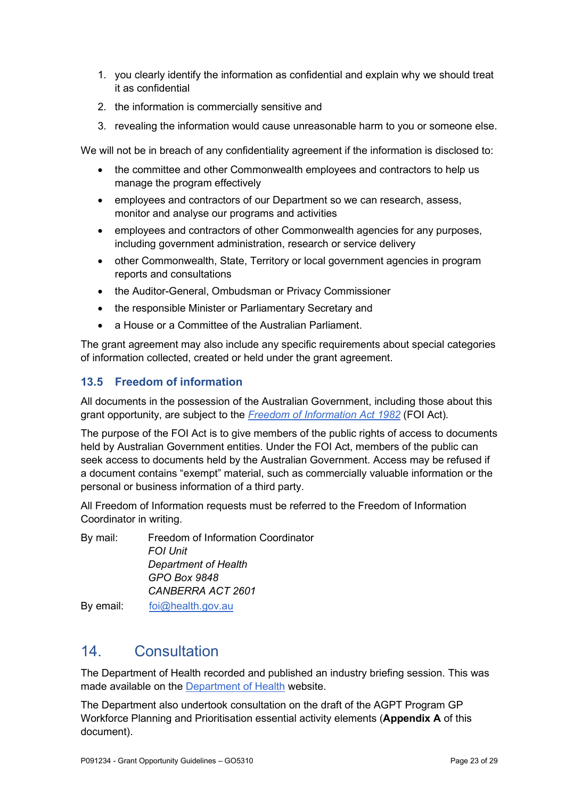- 1. you clearly identify the information as confidential and explain why we should treat it as confidential
- 2. the information is commercially sensitive and
- 3. revealing the information would cause unreasonable harm to you or someone else.

We will not be in breach of any confidentiality agreement if the information is disclosed to:

- the committee and other Commonwealth employees and contractors to help us manage the program effectively
- employees and contractors of our Department so we can research, assess, monitor and analyse our programs and activities
- employees and contractors of other Commonwealth agencies for any purposes, including government administration, research or service delivery
- other Commonwealth, State, Territory or local government agencies in program reports and consultations
- the Auditor-General, Ombudsman or Privacy Commissioner
- the responsible Minister or Parliamentary Secretary and
- a House or a Committee of the Australian Parliament.

The grant agreement may also include any specific requirements about special categories of information collected, created or held under the grant agreement.

## 13.5 Freedom of information

All documents in the possession of the Australian Government, including those about this grant opportunity, are subject to the Freedom of Information Act 1982 (FOI Act).

The purpose of the FOI Act is to give members of the public rights of access to documents held by Australian Government entities. Under the FOI Act, members of the public can seek access to documents held by the Australian Government. Access may be refused if a document contains "exempt" material, such as commercially valuable information or the personal or business information of a third party.

All Freedom of Information requests must be referred to the Freedom of Information Coordinator in writing.

By mail: Freedom of Information Coordinator FOI Unit Department of Health GPO Box 9848 CANBERRA ACT 2601 By email: foi@health.gov.au

## 14. Consultation

The Department of Health recorded and published an industry briefing session. This was made available on the Department of Health website.

The Department also undertook consultation on the draft of the AGPT Program GP Workforce Planning and Prioritisation essential activity elements (Appendix A of this document).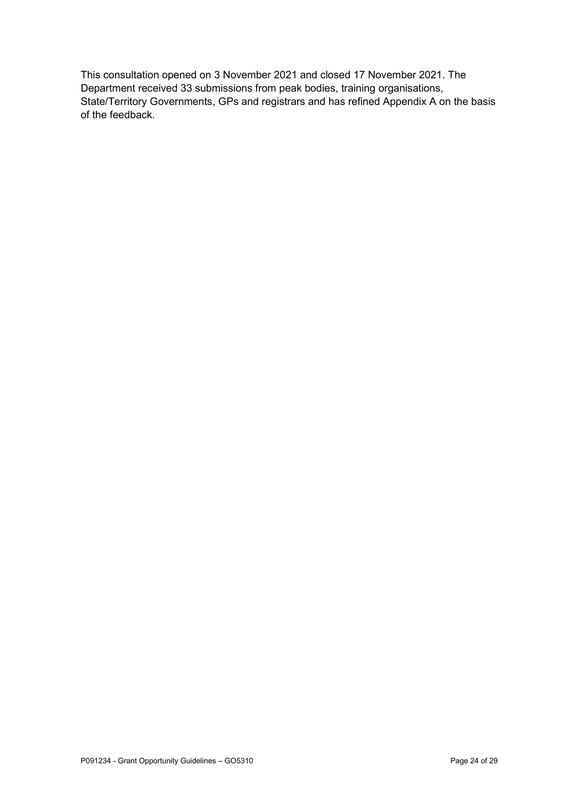This consultation opened on 3 November 2021 and closed 17 November 2021. The Department received 33 submissions from peak bodies, training organisations, State/Territory Governments, GPs and registrars and has refined Appendix A on the basis of the feedback.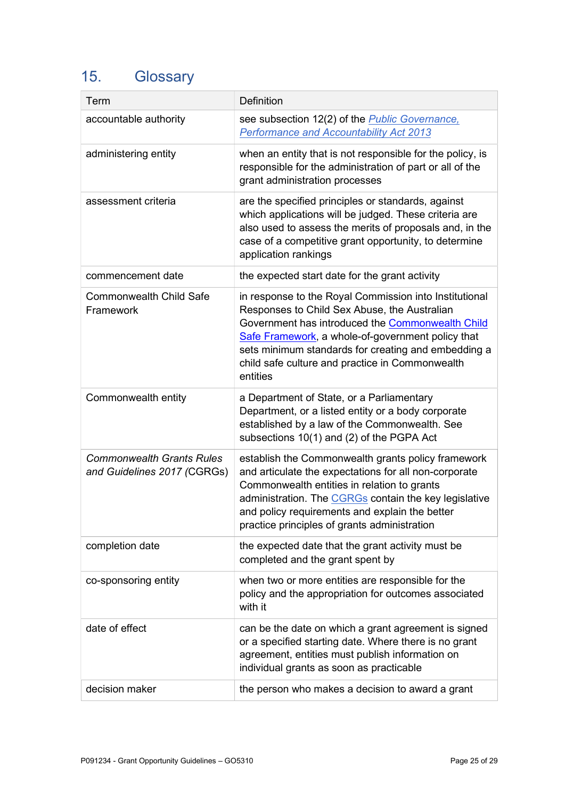# 15. Glossary

| Term                                                            | <b>Definition</b>                                                                                                                                                                                                                                                                                                                     |
|-----------------------------------------------------------------|---------------------------------------------------------------------------------------------------------------------------------------------------------------------------------------------------------------------------------------------------------------------------------------------------------------------------------------|
| accountable authority                                           | see subsection 12(2) of the <i>Public Governance</i> ,<br><b>Performance and Accountability Act 2013</b>                                                                                                                                                                                                                              |
| administering entity                                            | when an entity that is not responsible for the policy, is<br>responsible for the administration of part or all of the<br>grant administration processes                                                                                                                                                                               |
| assessment criteria                                             | are the specified principles or standards, against<br>which applications will be judged. These criteria are<br>also used to assess the merits of proposals and, in the<br>case of a competitive grant opportunity, to determine<br>application rankings                                                                               |
| commencement date                                               | the expected start date for the grant activity                                                                                                                                                                                                                                                                                        |
| <b>Commonwealth Child Safe</b><br>Framework                     | in response to the Royal Commission into Institutional<br>Responses to Child Sex Abuse, the Australian<br>Government has introduced the Commonwealth Child<br>Safe Framework, a whole-of-government policy that<br>sets minimum standards for creating and embedding a<br>child safe culture and practice in Commonwealth<br>entities |
| Commonwealth entity                                             | a Department of State, or a Parliamentary<br>Department, or a listed entity or a body corporate<br>established by a law of the Commonwealth. See<br>subsections 10(1) and (2) of the PGPA Act                                                                                                                                         |
| <b>Commonwealth Grants Rules</b><br>and Guidelines 2017 (CGRGs) | establish the Commonwealth grants policy framework<br>and articulate the expectations for all non-corporate<br>Commonwealth entities in relation to grants<br>administration. The CGRGs contain the key legislative<br>and policy requirements and explain the better<br>practice principles of grants administration                 |
| completion date                                                 | the expected date that the grant activity must be<br>completed and the grant spent by                                                                                                                                                                                                                                                 |
| co-sponsoring entity                                            | when two or more entities are responsible for the<br>policy and the appropriation for outcomes associated<br>with it                                                                                                                                                                                                                  |
| date of effect                                                  | can be the date on which a grant agreement is signed<br>or a specified starting date. Where there is no grant<br>agreement, entities must publish information on<br>individual grants as soon as practicable                                                                                                                          |
| decision maker                                                  | the person who makes a decision to award a grant                                                                                                                                                                                                                                                                                      |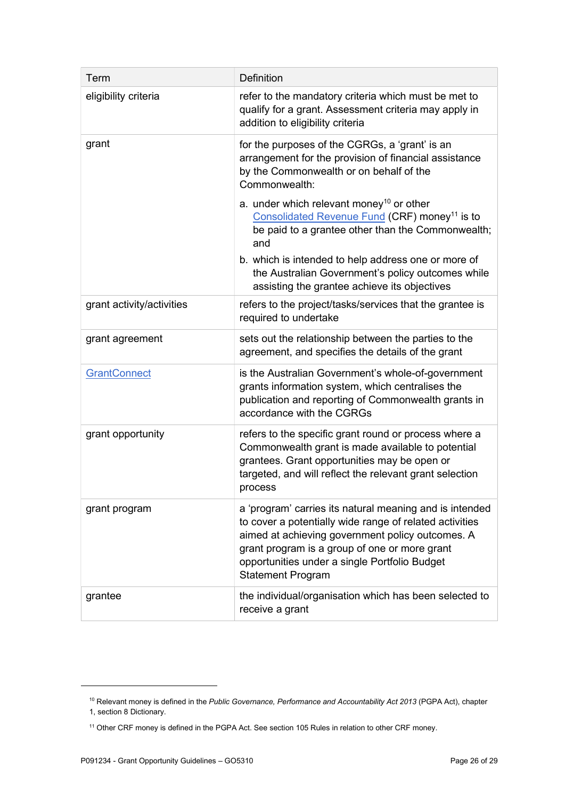| Term                      | Definition                                                                                                                                                                                                                                                                                           |
|---------------------------|------------------------------------------------------------------------------------------------------------------------------------------------------------------------------------------------------------------------------------------------------------------------------------------------------|
| eligibility criteria      | refer to the mandatory criteria which must be met to<br>qualify for a grant. Assessment criteria may apply in<br>addition to eligibility criteria                                                                                                                                                    |
| grant                     | for the purposes of the CGRGs, a 'grant' is an<br>arrangement for the provision of financial assistance<br>by the Commonwealth or on behalf of the<br>Commonwealth:                                                                                                                                  |
|                           | a. under which relevant money <sup>10</sup> or other<br>Consolidated Revenue Fund (CRF) money <sup>11</sup> is to<br>be paid to a grantee other than the Commonwealth;<br>and                                                                                                                        |
|                           | b. which is intended to help address one or more of<br>the Australian Government's policy outcomes while<br>assisting the grantee achieve its objectives                                                                                                                                             |
| grant activity/activities | refers to the project/tasks/services that the grantee is<br>required to undertake                                                                                                                                                                                                                    |
| grant agreement           | sets out the relationship between the parties to the<br>agreement, and specifies the details of the grant                                                                                                                                                                                            |
| <b>GrantConnect</b>       | is the Australian Government's whole-of-government<br>grants information system, which centralises the<br>publication and reporting of Commonwealth grants in<br>accordance with the CGRGs                                                                                                           |
| grant opportunity         | refers to the specific grant round or process where a<br>Commonwealth grant is made available to potential<br>grantees. Grant opportunities may be open or<br>targeted, and will reflect the relevant grant selection<br>process                                                                     |
| grant program             | a 'program' carries its natural meaning and is intended<br>to cover a potentially wide range of related activities<br>aimed at achieving government policy outcomes. A<br>grant program is a group of one or more grant<br>opportunities under a single Portfolio Budget<br><b>Statement Program</b> |
| grantee                   | the individual/organisation which has been selected to<br>receive a grant                                                                                                                                                                                                                            |

<sup>&</sup>lt;sup>10</sup> Relevant money is defined in the Public Governance, Performance and Accountability Act 2013 (PGPA Act), chapter 1, section 8 Dictionary.

<sup>11</sup> Other CRF money is defined in the PGPA Act. See section 105 Rules in relation to other CRF money.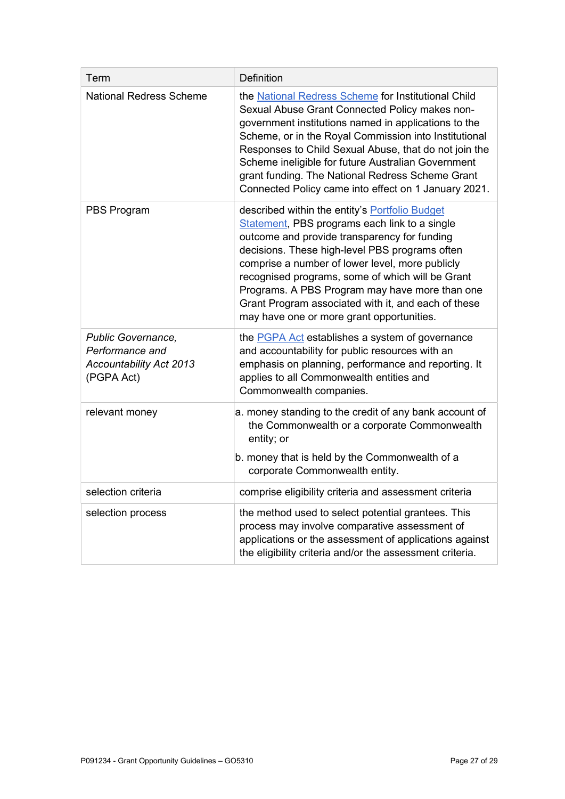| Term                                                                                  | Definition                                                                                                                                                                                                                                                                                                                                                                                                                                                            |
|---------------------------------------------------------------------------------------|-----------------------------------------------------------------------------------------------------------------------------------------------------------------------------------------------------------------------------------------------------------------------------------------------------------------------------------------------------------------------------------------------------------------------------------------------------------------------|
| <b>National Redress Scheme</b>                                                        | the National Redress Scheme for Institutional Child<br>Sexual Abuse Grant Connected Policy makes non-<br>government institutions named in applications to the<br>Scheme, or in the Royal Commission into Institutional<br>Responses to Child Sexual Abuse, that do not join the<br>Scheme ineligible for future Australian Government<br>grant funding. The National Redress Scheme Grant<br>Connected Policy came into effect on 1 January 2021.                     |
| PBS Program                                                                           | described within the entity's <b>Portfolio Budget</b><br>Statement, PBS programs each link to a single<br>outcome and provide transparency for funding<br>decisions. These high-level PBS programs often<br>comprise a number of lower level, more publicly<br>recognised programs, some of which will be Grant<br>Programs. A PBS Program may have more than one<br>Grant Program associated with it, and each of these<br>may have one or more grant opportunities. |
| Public Governance,<br>Performance and<br><b>Accountability Act 2013</b><br>(PGPA Act) | the <b>PGPA Act</b> establishes a system of governance<br>and accountability for public resources with an<br>emphasis on planning, performance and reporting. It<br>applies to all Commonwealth entities and<br>Commonwealth companies.                                                                                                                                                                                                                               |
| relevant money                                                                        | a. money standing to the credit of any bank account of<br>the Commonwealth or a corporate Commonwealth<br>entity; or<br>b. money that is held by the Commonwealth of a<br>corporate Commonwealth entity.                                                                                                                                                                                                                                                              |
| selection criteria                                                                    | comprise eligibility criteria and assessment criteria                                                                                                                                                                                                                                                                                                                                                                                                                 |
| selection process                                                                     | the method used to select potential grantees. This<br>process may involve comparative assessment of<br>applications or the assessment of applications against<br>the eligibility criteria and/or the assessment criteria.                                                                                                                                                                                                                                             |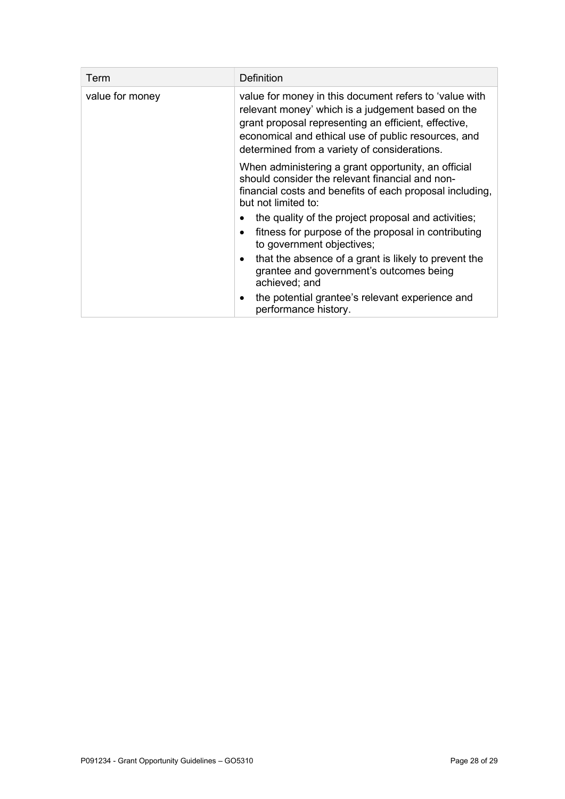| Term            | Definition                                                                                                                                                                                                                                                                 |
|-----------------|----------------------------------------------------------------------------------------------------------------------------------------------------------------------------------------------------------------------------------------------------------------------------|
| value for money | value for money in this document refers to 'value with<br>relevant money' which is a judgement based on the<br>grant proposal representing an efficient, effective,<br>economical and ethical use of public resources, and<br>determined from a variety of considerations. |
|                 | When administering a grant opportunity, an official<br>should consider the relevant financial and non-<br>financial costs and benefits of each proposal including,<br>but not limited to:                                                                                  |
|                 | the quality of the project proposal and activities;                                                                                                                                                                                                                        |
|                 | fitness for purpose of the proposal in contributing<br>to government objectives;                                                                                                                                                                                           |
|                 | that the absence of a grant is likely to prevent the<br>grantee and government's outcomes being<br>achieved; and                                                                                                                                                           |
|                 | the potential grantee's relevant experience and<br>performance history.                                                                                                                                                                                                    |